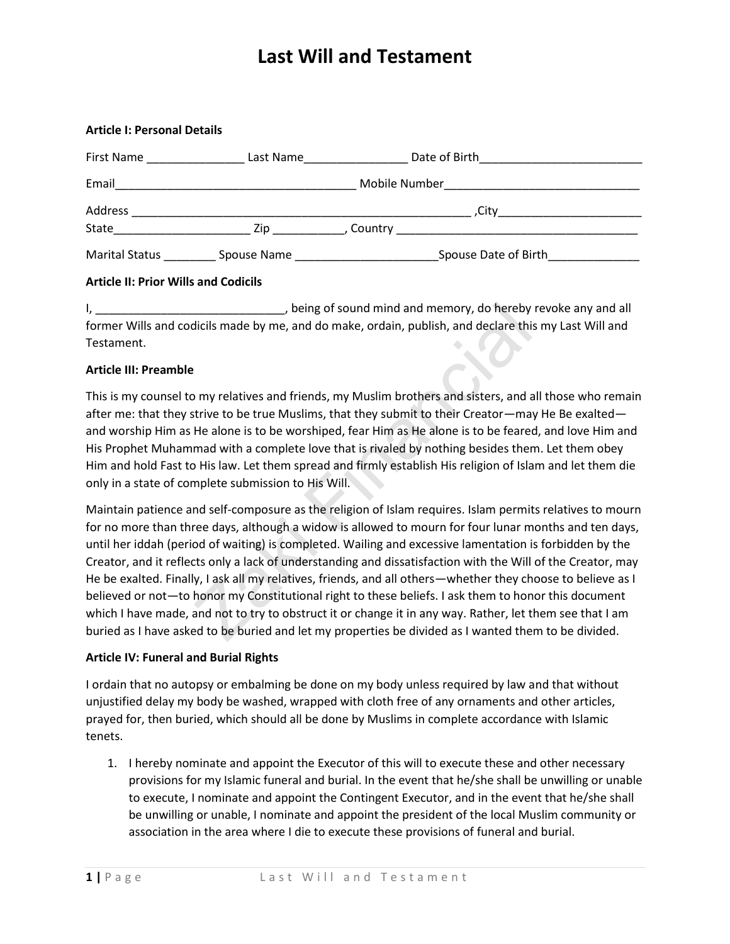| <b>Article I: Personal Details</b>                                                                             |           |                                                                        |  |
|----------------------------------------------------------------------------------------------------------------|-----------|------------------------------------------------------------------------|--|
| First Name                                                                                                     | Last Name |                                                                        |  |
| Email 2008 - 2008 - 2009 - 2010 - 2010 - 2010 - 2011 - 2012 - 2014 - 2012 - 2014 - 2014 - 2014 - 2014 - 2014 - |           |                                                                        |  |
|                                                                                                                |           |                                                                        |  |
|                                                                                                                |           |                                                                        |  |
|                                                                                                                |           | Spouse Date of Birth <b>Supering Contains the Spouse Date of Birth</b> |  |

### **Article II: Prior Wills and Codicils**

I, being of sound mind and memory, do hereby revoke any and all former Wills and codicils made by me, and do make, ordain, publish, and declare this my Last Will and Testament.

### **Article III: Preamble**

This is my counsel to my relatives and friends, my Muslim brothers and sisters, and all those who remain after me: that they strive to be true Muslims, that they submit to their Creator—may He Be exalted and worship Him as He alone is to be worshiped, fear Him as He alone is to be feared, and love Him and His Prophet Muhammad with a complete love that is rivaled by nothing besides them. Let them obey Him and hold Fast to His law. Let them spread and firmly establish His religion of Islam and let them die only in a state of complete submission to His Will.

Zaki Financial Maintain patience and self-composure as the religion of Islam requires. Islam permits relatives to mourn for no more than three days, although a widow is allowed to mourn for four lunar months and ten days, until her iddah (period of waiting) is completed. Wailing and excessive lamentation is forbidden by the Creator, and it reflects only a lack of understanding and dissatisfaction with the Will of the Creator, may He be exalted. Finally, I ask all my relatives, friends, and all others—whether they choose to believe as I believed or not—to honor my Constitutional right to these beliefs. I ask them to honor this document which I have made, and not to try to obstruct it or change it in any way. Rather, let them see that I am buried as I have asked to be buried and let my properties be divided as I wanted them to be divided.

#### **Article IV: Funeral and Burial Rights**

I ordain that no autopsy or embalming be done on my body unless required by law and that without unjustified delay my body be washed, wrapped with cloth free of any ornaments and other articles, prayed for, then buried, which should all be done by Muslims in complete accordance with Islamic tenets.

1. I hereby nominate and appoint the Executor of this will to execute these and other necessary provisions for my Islamic funeral and burial. In the event that he/she shall be unwilling or unable to execute, I nominate and appoint the Contingent Executor, and in the event that he/she shall be unwilling or unable, I nominate and appoint the president of the local Muslim community or association in the area where I die to execute these provisions of funeral and burial.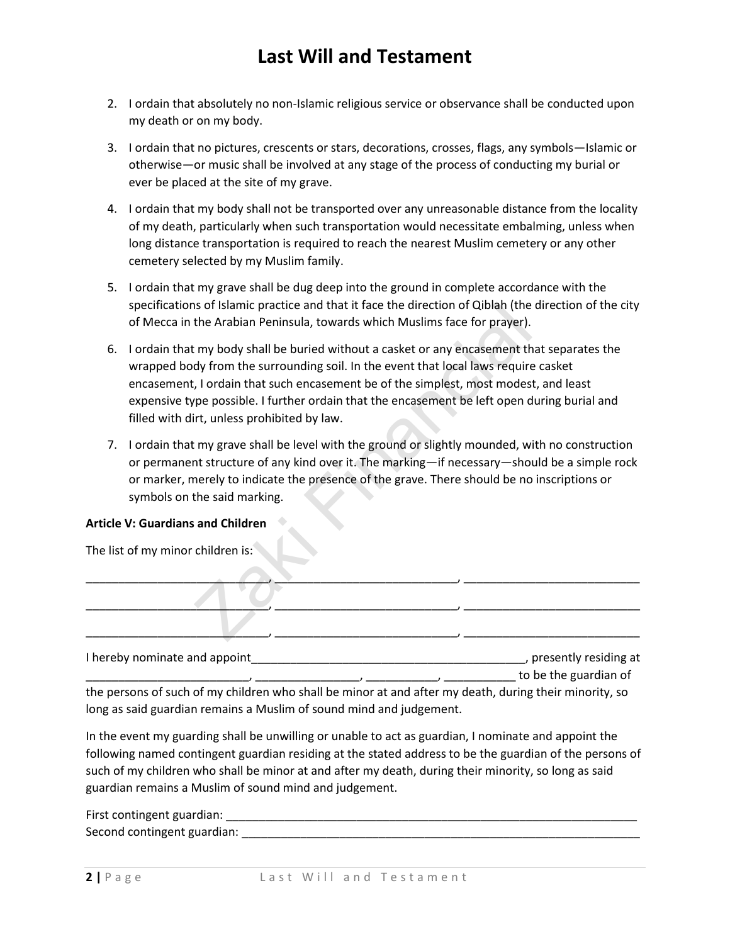- 2. I ordain that absolutely no non-Islamic religious service or observance shall be conducted upon my death or on my body.
- 3. I ordain that no pictures, crescents or stars, decorations, crosses, flags, any symbols—Islamic or otherwise—or music shall be involved at any stage of the process of conducting my burial or ever be placed at the site of my grave.
- 4. I ordain that my body shall not be transported over any unreasonable distance from the locality of my death, particularly when such transportation would necessitate embalming, unless when long distance transportation is required to reach the nearest Muslim cemetery or any other cemetery selected by my Muslim family.
- 5. I ordain that my grave shall be dug deep into the ground in complete accordance with the specifications of Islamic practice and that it face the direction of Qiblah (the direction of the city of Mecca in the Arabian Peninsula, towards which Muslims face for prayer).
- In the Arabian Peninsula, towards which Muslims face for prayer).<br>
the Arabian Peninsula, towards which Muslims face for prayer).<br>
the Arabian Peninsula, towards which Muslims face for prayer).<br>
the Arabian Peninsula, towa 6. I ordain that my body shall be buried without a casket or any encasement that separates the wrapped body from the surrounding soil. In the event that local laws require casket encasement, I ordain that such encasement be of the simplest, most modest, and least expensive type possible. I further ordain that the encasement be left open during burial and filled with dirt, unless prohibited by law.
- 7. I ordain that my grave shall be level with the ground or slightly mounded, with no construction or permanent structure of any kind over it. The marking—if necessary—should be a simple rock or marker, merely to indicate the presence of the grave. There should be no inscriptions or symbols on the said marking.

### **Article V: Guardians and Children**

The list of my minor children is:

| I hereby nominate and appoint | , presently residing at |
|-------------------------------|-------------------------|

\_\_\_\_\_\_\_\_\_\_\_\_\_\_\_\_\_\_\_\_\_\_\_\_\_, \_\_\_\_\_\_\_\_\_\_\_\_\_\_\_\_, \_\_\_\_\_\_\_\_\_\_\_, \_\_\_\_\_\_\_\_\_\_\_ to be the guardian of the persons of such of my children who shall be minor at and after my death, during their minority, so long as said guardian remains a Muslim of sound mind and judgement.

In the event my guarding shall be unwilling or unable to act as guardian, I nominate and appoint the following named contingent guardian residing at the stated address to be the guardian of the persons of such of my children who shall be minor at and after my death, during their minority, so long as said guardian remains a Muslim of sound mind and judgement.

First contingent guardian: **Example 20** and  $\overline{a}$  and  $\overline{b}$  and  $\overline{c}$  and  $\overline{d}$  and  $\overline{b}$  and  $\overline{c}$  and  $\overline{d}$  and  $\overline{c}$  and  $\overline{c}$  and  $\overline{c}$  and  $\overline{c}$  and  $\overline{c}$  and  $\overline{c}$  and  $\overline{c}$  Second contingent guardian: \_\_\_\_\_\_\_\_\_\_\_\_\_\_\_\_\_\_\_\_\_\_\_\_\_\_\_\_\_\_\_\_\_\_\_\_\_\_\_\_\_\_\_\_\_\_\_\_\_\_\_\_\_\_\_\_\_\_\_\_\_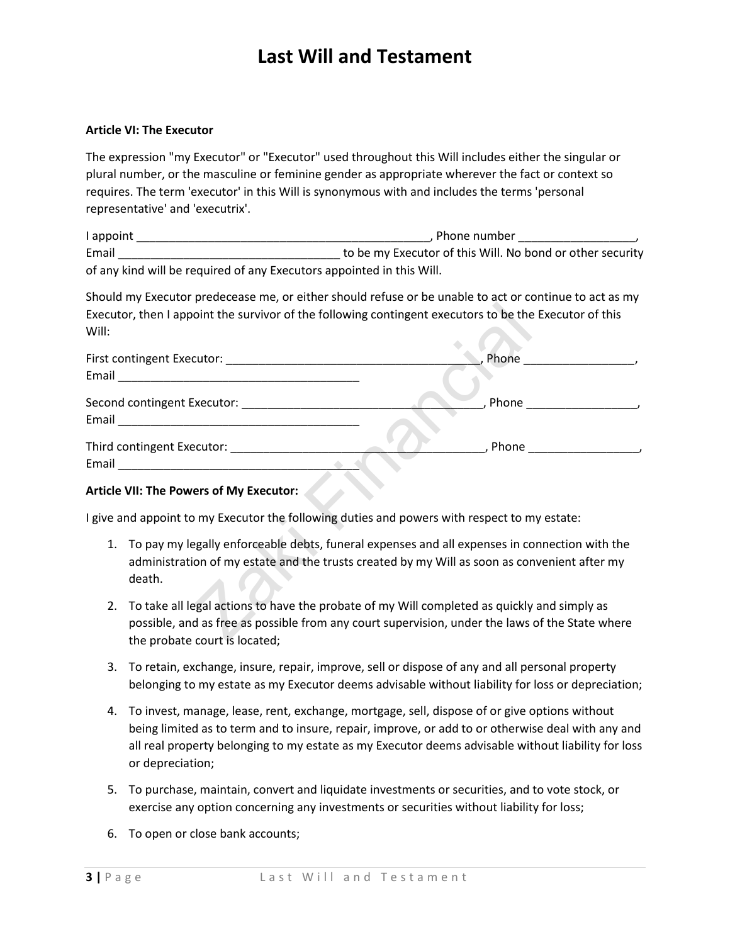### **Article VI: The Executor**

The expression "my Executor" or "Executor" used throughout this Will includes either the singular or plural number, or the masculine or feminine gender as appropriate wherever the fact or context so requires. The term 'executor' in this Will is synonymous with and includes the terms 'personal representative' and 'executrix'.

| l appoint | . Phone number                                                        |
|-----------|-----------------------------------------------------------------------|
| Email     | to be my Executor of this Will. No bond or other security             |
|           | of any kind will be required of any Executors appointed in this Will. |

Should my Executor predecease me, or either should refuse or be unable to act or continue to act as my Executor, then I appoint the survivor of the following contingent executors to be the Executor of this Will:

| Will: | Executor, then I appoint the survivor of the following contingent executors to be the Executor of this                                                                                                                             |                                     |
|-------|------------------------------------------------------------------------------------------------------------------------------------------------------------------------------------------------------------------------------------|-------------------------------------|
|       |                                                                                                                                                                                                                                    |                                     |
|       |                                                                                                                                                                                                                                    |                                     |
|       |                                                                                                                                                                                                                                    | _, Phone __________________________ |
|       | Third contingent Executor: National Philosophysics and Continuum                                                                                                                                                                   |                                     |
|       | <b>Article VII: The Powers of My Executor:</b>                                                                                                                                                                                     |                                     |
|       | I give and appoint to my Executor the following duties and powers with respect to my estate:                                                                                                                                       |                                     |
|       | 1. To pay my legally enforceable debts, funeral expenses and all expenses in connection with the<br>administration of my estate and the trusts created by my Will as soon as convenient after my<br>death.                         |                                     |
|       | 2. To take all legal actions to have the probate of my Will completed as quickly and simply as<br>possible, and as free as possible from any court supervision, under the laws of the State where<br>the probate court is located. |                                     |

### **Article VII: The Powers of My Executor:**

- 1. To pay my legally enforceable debts, funeral expenses and all expenses in connection with the administration of my estate and the trusts created by my Will as soon as convenient after my death.
- 2. To take all legal actions to have the probate of my Will completed as quickly and simply as possible, and as free as possible from any court supervision, under the laws of the State where the probate court is located;
- 3. To retain, exchange, insure, repair, improve, sell or dispose of any and all personal property belonging to my estate as my Executor deems advisable without liability for loss or depreciation;
- 4. To invest, manage, lease, rent, exchange, mortgage, sell, dispose of or give options without being limited as to term and to insure, repair, improve, or add to or otherwise deal with any and all real property belonging to my estate as my Executor deems advisable without liability for loss or depreciation;
- 5. To purchase, maintain, convert and liquidate investments or securities, and to vote stock, or exercise any option concerning any investments or securities without liability for loss;
- 6. To open or close bank accounts;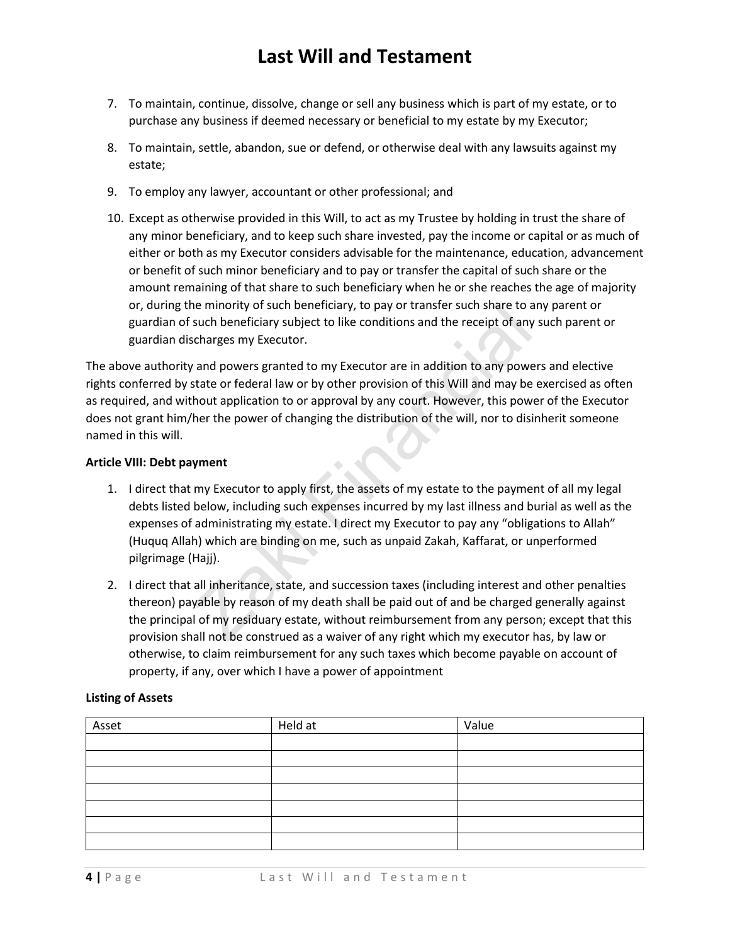- 7. To maintain, continue, dissolve, change or sell any business which is part of my estate, or to purchase any business if deemed necessary or beneficial to my estate by my Executor;
- 8. To maintain, settle, abandon, sue or defend, or otherwise deal with any lawsuits against my estate;
- 9. To employ any lawyer, accountant or other professional; and
- 10. Except as otherwise provided in this Will, to act as my Trustee by holding in trust the share of any minor beneficiary, and to keep such share invested, pay the income or capital or as much of either or both as my Executor considers advisable for the maintenance, education, advancement or benefit of such minor beneficiary and to pay or transfer the capital of such share or the amount remaining of that share to such beneficiary when he or she reaches the age of majority or, during the minority of such beneficiary, to pay or transfer such share to any parent or guardian of such beneficiary subject to like conditions and the receipt of any such parent or guardian discharges my Executor.

The above authority and powers granted to my Executor are in addition to any powers and elective rights conferred by state or federal law or by other provision of this Will and may be exercised as often as required, and without application to or approval by any court. However, this power of the Executor does not grant him/her the power of changing the distribution of the will, nor to disinherit someone named in this will.

#### **Article VIII: Debt payment**

- ne minority of such beneficiary, to pay or transfer such share to a<br>such beneficiary subject to like conditions and the receipt of any<br>charges my Executor.<br>The conditions and the receipt of any<br>charges my Executor.<br>The con 1. I direct that my Executor to apply first, the assets of my estate to the payment of all my legal debts listed below, including such expenses incurred by my last illness and burial as well as the expenses of administrating my estate. I direct my Executor to pay any "obligations to Allah" (Huquq Allah) which are binding on me, such as unpaid Zakah, Kaffarat, or unperformed pilgrimage (Hajj).
- 2. I direct that all inheritance, state, and succession taxes (including interest and other penalties thereon) payable by reason of my death shall be paid out of and be charged generally against the principal of my residuary estate, without reimbursement from any person; except that this provision shall not be construed as a waiver of any right which my executor has, by law or otherwise, to claim reimbursement for any such taxes which become payable on account of property, if any, over which I have a power of appointment

### **Listing of Assets**

| Asset | Held at | Value |
|-------|---------|-------|
|       |         |       |
|       |         |       |
|       |         |       |
|       |         |       |
|       |         |       |
|       |         |       |
|       |         |       |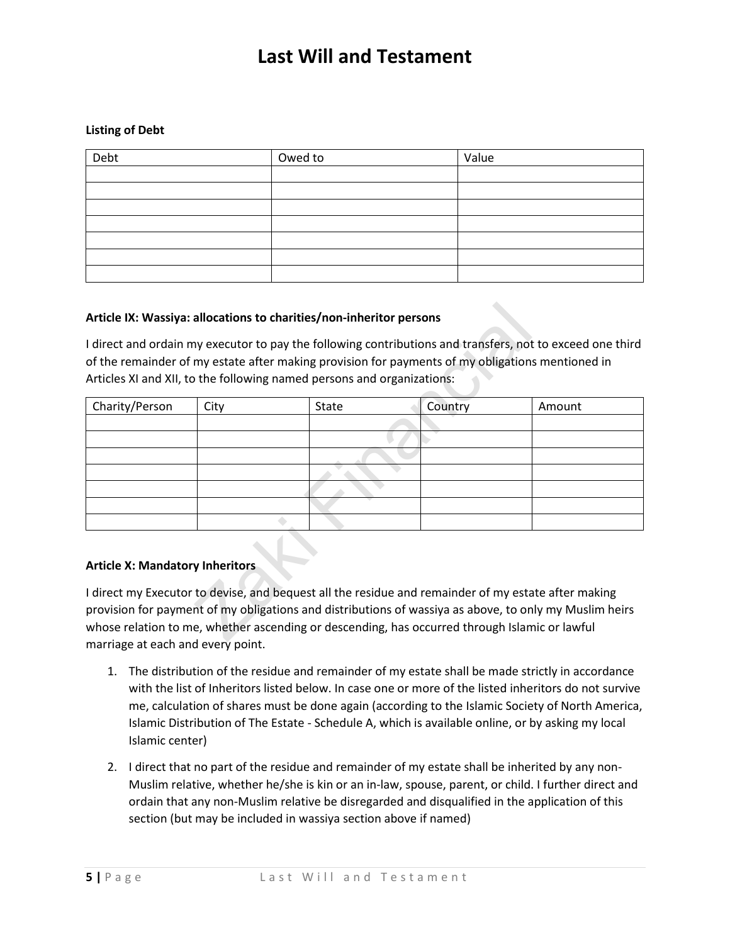#### **Listing of Debt**

| Debt | Owed to | Value |
|------|---------|-------|
|      |         |       |
|      |         |       |
|      |         |       |
|      |         |       |
|      |         |       |
|      |         |       |
|      |         |       |

#### **Article IX: Wassiya: allocations to charities/non-inheritor persons**

|                                        |      | Article IX: Wassiya: allocations to charities/non-inheritor persons                                                                                                                                                                                                                                            |         |                                                                                                           |
|----------------------------------------|------|----------------------------------------------------------------------------------------------------------------------------------------------------------------------------------------------------------------------------------------------------------------------------------------------------------------|---------|-----------------------------------------------------------------------------------------------------------|
|                                        |      | of the remainder of my estate after making provision for payments of my obligations mentioned in<br>Articles XI and XII, to the following named persons and organizations:                                                                                                                                     |         | I direct and ordain my executor to pay the following contributions and transfers, not to exceed one third |
| Charity/Person                         | City | State                                                                                                                                                                                                                                                                                                          | Country | Amount                                                                                                    |
|                                        |      |                                                                                                                                                                                                                                                                                                                |         |                                                                                                           |
|                                        |      |                                                                                                                                                                                                                                                                                                                |         |                                                                                                           |
|                                        |      |                                                                                                                                                                                                                                                                                                                |         |                                                                                                           |
|                                        |      |                                                                                                                                                                                                                                                                                                                |         |                                                                                                           |
|                                        |      |                                                                                                                                                                                                                                                                                                                |         |                                                                                                           |
|                                        |      |                                                                                                                                                                                                                                                                                                                |         |                                                                                                           |
|                                        |      |                                                                                                                                                                                                                                                                                                                |         |                                                                                                           |
| <b>Article X: Mandatory Inheritors</b> |      |                                                                                                                                                                                                                                                                                                                |         |                                                                                                           |
|                                        |      | I direct my Executor to devise, and bequest all the residue and remainder of my estate after making<br>provision for payment of my obligations and distributions of wassiya as above, to only my Muslim heirs<br>whose relation to me, whether ascending or descending, has occurred through Islamic or lawful |         |                                                                                                           |

### **Article X: Mandatory Inheritors**

I direct my Executor to devise, and bequest all the residue and remainder of my estate after making provision for payment of my obligations and distributions of wassiya as above, to only my Muslim heirs whose relation to me, whether ascending or descending, has occurred through Islamic or lawful marriage at each and every point.

- 1. The distribution of the residue and remainder of my estate shall be made strictly in accordance with the list of Inheritors listed below. In case one or more of the listed inheritors do not survive me, calculation of shares must be done again (according to the Islamic Society of North America, Islamic Distribution of The Estate - Schedule A, which is available online, or by asking my local Islamic center)
- 2. I direct that no part of the residue and remainder of my estate shall be inherited by any non-Muslim relative, whether he/she is kin or an in-law, spouse, parent, or child. I further direct and ordain that any non-Muslim relative be disregarded and disqualified in the application of this section (but may be included in wassiya section above if named)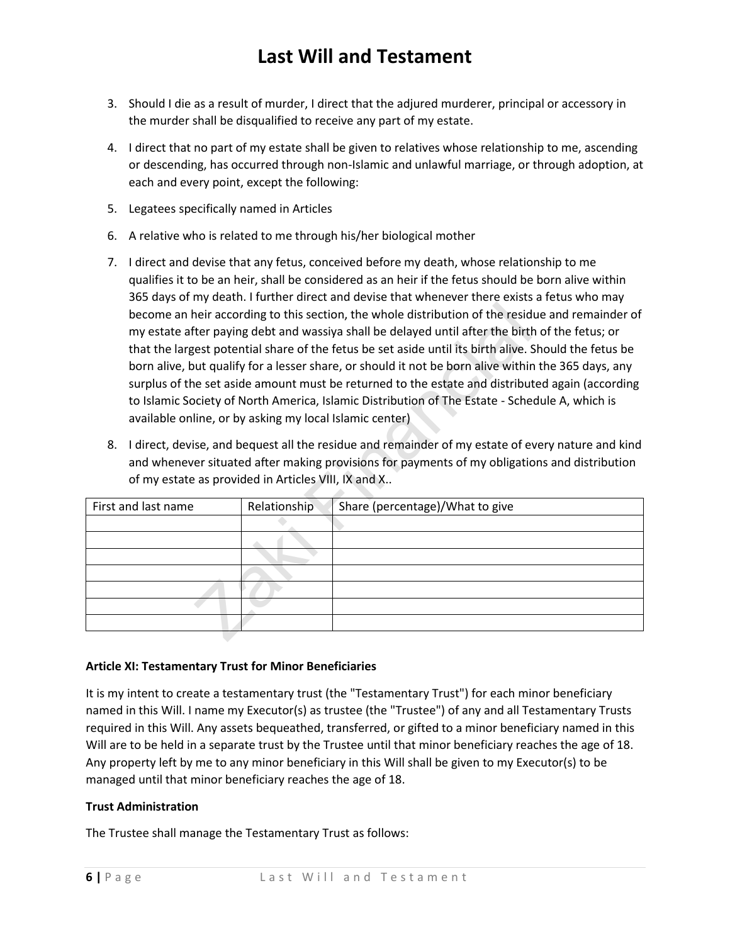- 3. Should I die as a result of murder, I direct that the adjured murderer, principal or accessory in the murder shall be disqualified to receive any part of my estate.
- 4. I direct that no part of my estate shall be given to relatives whose relationship to me, ascending or descending, has occurred through non-Islamic and unlawful marriage, or through adoption, at each and every point, except the following:
- 5. Legatees specifically named in Articles
- 6. A relative who is related to me through his/her biological mother
- 7. I direct and devise that any fetus, conceived before my death, whose relationship to me qualifies it to be an heir, shall be considered as an heir if the fetus should be born alive within 365 days of my death. I further direct and devise that whenever there exists a fetus who may become an heir according to this section, the whole distribution of the residue and remainder of my estate after paying debt and wassiya shall be delayed until after the birth of the fetus; or that the largest potential share of the fetus be set aside until its birth alive. Should the fetus be born alive, but qualify for a lesser share, or should it not be born alive within the 365 days, any surplus of the set aside amount must be returned to the estate and distributed again (according to Islamic Society of North America, Islamic Distribution of The Estate - Schedule A, which is available online, or by asking my local Islamic center)
- 8. I direct, devise, and bequest all the residue and remainder of my estate of every nature and kind and whenever situated after making provisions for payments of my obligations and distribution of my estate as provided in Articles VIII, IX and X..

|    | available online, or by asking my local Islamic center) |              | become an heir according to this section, the whole distribution of the residue and remainder of<br>my estate after paying debt and wassiya shall be delayed until after the birth of the fetus; or<br>that the largest potential share of the fetus be set aside until its birth alive. Should the fetus be<br>born alive, but qualify for a lesser share, or should it not be born alive within the 365 days, any<br>surplus of the set aside amount must be returned to the estate and distributed again (according<br>to Islamic Society of North America, Islamic Distribution of The Estate - Schedule A, which is |
|----|---------------------------------------------------------|--------------|--------------------------------------------------------------------------------------------------------------------------------------------------------------------------------------------------------------------------------------------------------------------------------------------------------------------------------------------------------------------------------------------------------------------------------------------------------------------------------------------------------------------------------------------------------------------------------------------------------------------------|
| 8. | of my estate as provided in Articles VIII, IX and X     |              | I direct, devise, and bequest all the residue and remainder of my estate of every nature and kind<br>and whenever situated after making provisions for payments of my obligations and distribution                                                                                                                                                                                                                                                                                                                                                                                                                       |
|    | First and last name                                     | Relationship | Share (percentage)/What to give                                                                                                                                                                                                                                                                                                                                                                                                                                                                                                                                                                                          |
|    |                                                         |              |                                                                                                                                                                                                                                                                                                                                                                                                                                                                                                                                                                                                                          |
|    |                                                         |              |                                                                                                                                                                                                                                                                                                                                                                                                                                                                                                                                                                                                                          |
|    |                                                         |              |                                                                                                                                                                                                                                                                                                                                                                                                                                                                                                                                                                                                                          |
|    |                                                         |              |                                                                                                                                                                                                                                                                                                                                                                                                                                                                                                                                                                                                                          |
|    |                                                         |              |                                                                                                                                                                                                                                                                                                                                                                                                                                                                                                                                                                                                                          |
|    |                                                         |              |                                                                                                                                                                                                                                                                                                                                                                                                                                                                                                                                                                                                                          |
|    |                                                         |              |                                                                                                                                                                                                                                                                                                                                                                                                                                                                                                                                                                                                                          |
|    |                                                         |              |                                                                                                                                                                                                                                                                                                                                                                                                                                                                                                                                                                                                                          |

### **Article XI: Testamentary Trust for Minor Beneficiaries**

It is my intent to create a testamentary trust (the "Testamentary Trust") for each minor beneficiary named in this Will. I name my Executor(s) as trustee (the "Trustee") of any and all Testamentary Trusts required in this Will. Any assets bequeathed, transferred, or gifted to a minor beneficiary named in this Will are to be held in a separate trust by the Trustee until that minor beneficiary reaches the age of 18. Any property left by me to any minor beneficiary in this Will shall be given to my Executor(s) to be managed until that minor beneficiary reaches the age of 18.

### **Trust Administration**

The Trustee shall manage the Testamentary Trust as follows: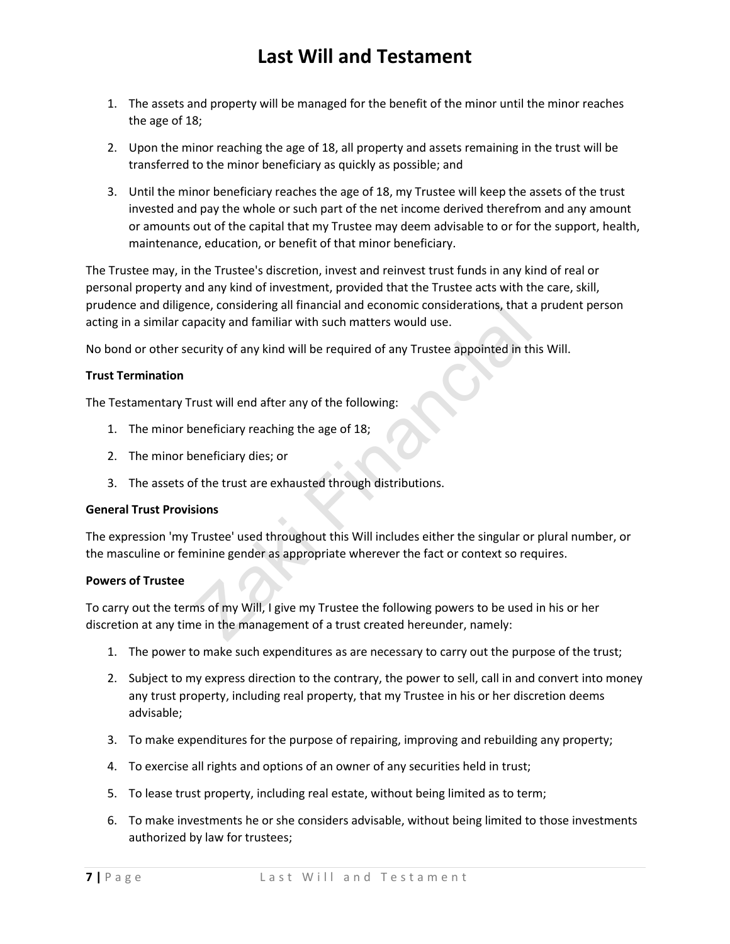- 1. The assets and property will be managed for the benefit of the minor until the minor reaches the age of 18;
- 2. Upon the minor reaching the age of 18, all property and assets remaining in the trust will be transferred to the minor beneficiary as quickly as possible; and
- 3. Until the minor beneficiary reaches the age of 18, my Trustee will keep the assets of the trust invested and pay the whole or such part of the net income derived therefrom and any amount or amounts out of the capital that my Trustee may deem advisable to or for the support, health, maintenance, education, or benefit of that minor beneficiary.

The Trustee may, in the Trustee's discretion, invest and reinvest trust funds in any kind of real or personal property and any kind of investment, provided that the Trustee acts with the care, skill, prudence and diligence, considering all financial and economic considerations, that a prudent person acting in a similar capacity and familiar with such matters would use.

No bond or other security of any kind will be required of any Trustee appointed in this Will.

### **Trust Termination**

The Testamentary Trust will end after any of the following:

- 1. The minor beneficiary reaching the age of 18;
- 2. The minor beneficiary dies; or
- 3. The assets of the trust are exhausted through distributions.

### **General Trust Provisions**

nce, considering all financial and economic considerations, that a<br>pacity and familiar with such matters would use.<br>curity of any kind will be required of any Trustee appointed in the<br>rust will end after any of the followi The expression 'my Trustee' used throughout this Will includes either the singular or plural number, or the masculine or feminine gender as appropriate wherever the fact or context so requires.

### **Powers of Trustee**

To carry out the terms of my Will, I give my Trustee the following powers to be used in his or her discretion at any time in the management of a trust created hereunder, namely:

- 1. The power to make such expenditures as are necessary to carry out the purpose of the trust;
- 2. Subject to my express direction to the contrary, the power to sell, call in and convert into money any trust property, including real property, that my Trustee in his or her discretion deems advisable;
- 3. To make expenditures for the purpose of repairing, improving and rebuilding any property;
- 4. To exercise all rights and options of an owner of any securities held in trust;
- 5. To lease trust property, including real estate, without being limited as to term;
- 6. To make investments he or she considers advisable, without being limited to those investments authorized by law for trustees;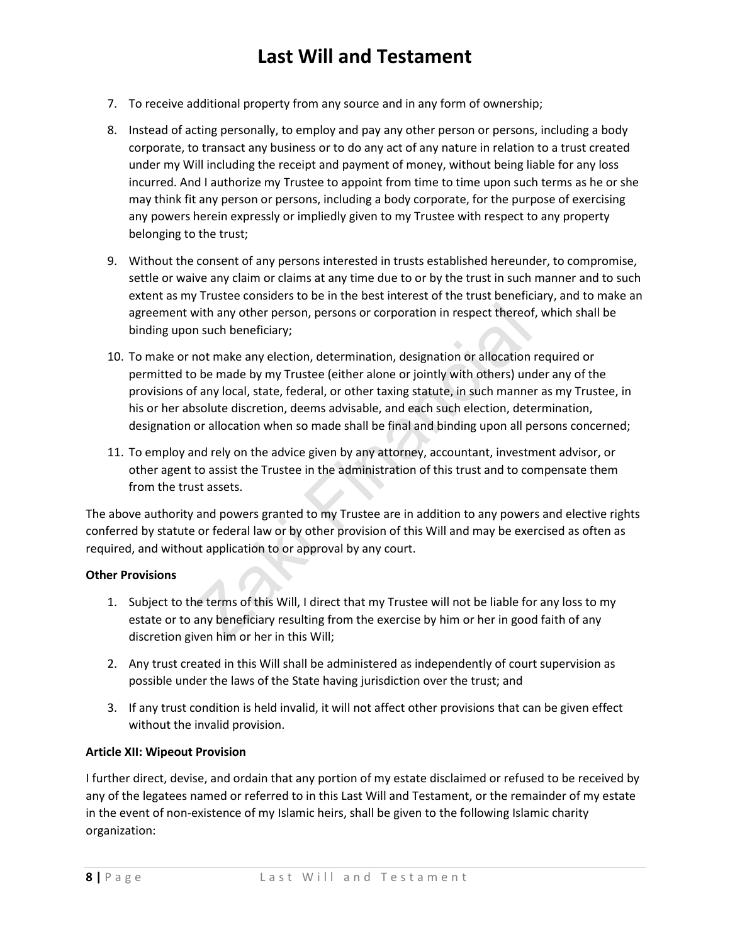- 7. To receive additional property from any source and in any form of ownership;
- 8. Instead of acting personally, to employ and pay any other person or persons, including a body corporate, to transact any business or to do any act of any nature in relation to a trust created under my Will including the receipt and payment of money, without being liable for any loss incurred. And I authorize my Trustee to appoint from time to time upon such terms as he or she may think fit any person or persons, including a body corporate, for the purpose of exercising any powers herein expressly or impliedly given to my Trustee with respect to any property belonging to the trust;
- 9. Without the consent of any persons interested in trusts established hereunder, to compromise, settle or waive any claim or claims at any time due to or by the trust in such manner and to such extent as my Trustee considers to be in the best interest of the trust beneficiary, and to make an agreement with any other person, persons or corporation in respect thereof, which shall be binding upon such beneficiary;
- with any other person, persons or corporation in respect thereod<br>n such beneficiary;<br>not make any election, determination, designation or allocation<br>be made by my Trustee (either alone or jointly with others) un<br>f any loca 10. To make or not make any election, determination, designation or allocation required or permitted to be made by my Trustee (either alone or jointly with others) under any of the provisions of any local, state, federal, or other taxing statute, in such manner as my Trustee, in his or her absolute discretion, deems advisable, and each such election, determination, designation or allocation when so made shall be final and binding upon all persons concerned;
- 11. To employ and rely on the advice given by any attorney, accountant, investment advisor, or other agent to assist the Trustee in the administration of this trust and to compensate them from the trust assets.

The above authority and powers granted to my Trustee are in addition to any powers and elective rights conferred by statute or federal law or by other provision of this Will and may be exercised as often as required, and without application to or approval by any court.

### **Other Provisions**

- 1. Subject to the terms of this Will, I direct that my Trustee will not be liable for any loss to my estate or to any beneficiary resulting from the exercise by him or her in good faith of any discretion given him or her in this Will;
- 2. Any trust created in this Will shall be administered as independently of court supervision as possible under the laws of the State having jurisdiction over the trust; and
- 3. If any trust condition is held invalid, it will not affect other provisions that can be given effect without the invalid provision.

### **Article XII: Wipeout Provision**

I further direct, devise, and ordain that any portion of my estate disclaimed or refused to be received by any of the legatees named or referred to in this Last Will and Testament, or the remainder of my estate in the event of non-existence of my Islamic heirs, shall be given to the following Islamic charity organization: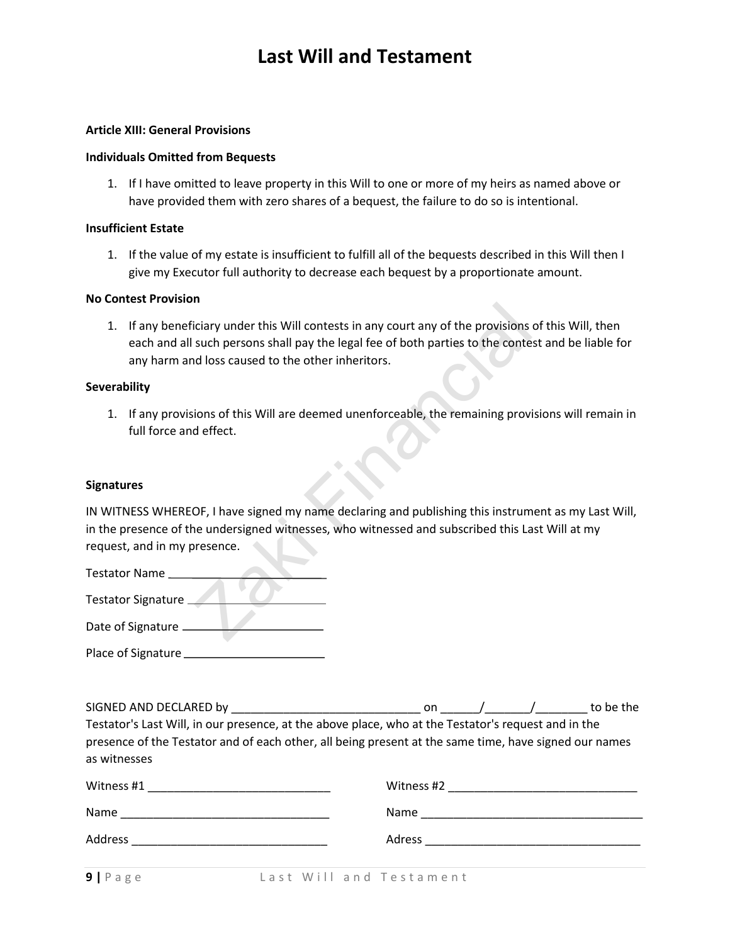#### **Article XIII: General Provisions**

#### **Individuals Omitted from Bequests**

1. If I have omitted to leave property in this Will to one or more of my heirs as named above or have provided them with zero shares of a bequest, the failure to do so is intentional.

#### **Insufficient Estate**

1. If the value of my estate is insufficient to fulfill all of the bequests described in this Will then I give my Executor full authority to decrease each bequest by a proportionate amount.

#### **No Contest Provision**

Triangulary under this Will contests in any court any of the provisions<br>such persons shall pay the legal fee of both parties to the conte<br>al loss caused to the other inheritors.<br>sions of this Will are deemed unenforceable, 1. If any beneficiary under this Will contests in any court any of the provisions of this Will, then each and all such persons shall pay the legal fee of both parties to the contest and be liable for any harm and loss caused to the other inheritors.

#### **Severability**

1. If any provisions of this Will are deemed unenforceable, the remaining provisions will remain in full force and effect.

#### **Signatures**

IN WITNESS WHEREOF, I have signed my name declaring and publishing this instrument as my Last Will, in the presence of the undersigned witnesses, who witnessed and subscribed this Last Will at my request, and in my presence.

| <b>Testator Name</b>      |  |
|---------------------------|--|
| <b>Testator Signature</b> |  |
| Date of Signature         |  |
|                           |  |
| Place of Signature        |  |

| SIGNED AND DECLARED by                                                                                                                                                                                       | on.        |  | to be the |
|--------------------------------------------------------------------------------------------------------------------------------------------------------------------------------------------------------------|------------|--|-----------|
| Testator's Last Will, in our presence, at the above place, who at the Testator's request and in the<br>presence of the Testator and of each other, all being present at the same time, have signed our names |            |  |           |
| as witnesses<br>Witness #1                                                                                                                                                                                   | Witness #2 |  |           |

| Witness #1                                                                                                                                                                                                                           | Witness #2                                                                                                           |
|--------------------------------------------------------------------------------------------------------------------------------------------------------------------------------------------------------------------------------------|----------------------------------------------------------------------------------------------------------------------|
|                                                                                                                                                                                                                                      | <u> 1989 - Johann John Stone, market fan it ferstjer fan it ferstjer fan it ferstjer fan it ferstjer fan it fers</u> |
| Name                                                                                                                                                                                                                                 | Name                                                                                                                 |
|                                                                                                                                                                                                                                      |                                                                                                                      |
| Address                                                                                                                                                                                                                              | Adress                                                                                                               |
| <u> 1989 - Johann Stein, mars and de Britannic and Stein Britannic and Stein Britannic and Stein Britannic and Stein Britannic and Stein Britannic and Stein Britannic and Stein Britannic and Stein Britannic and Stein Britann</u> |                                                                                                                      |
| $\sim$ $\sim$ $\sim$                                                                                                                                                                                                                 |                                                                                                                      |